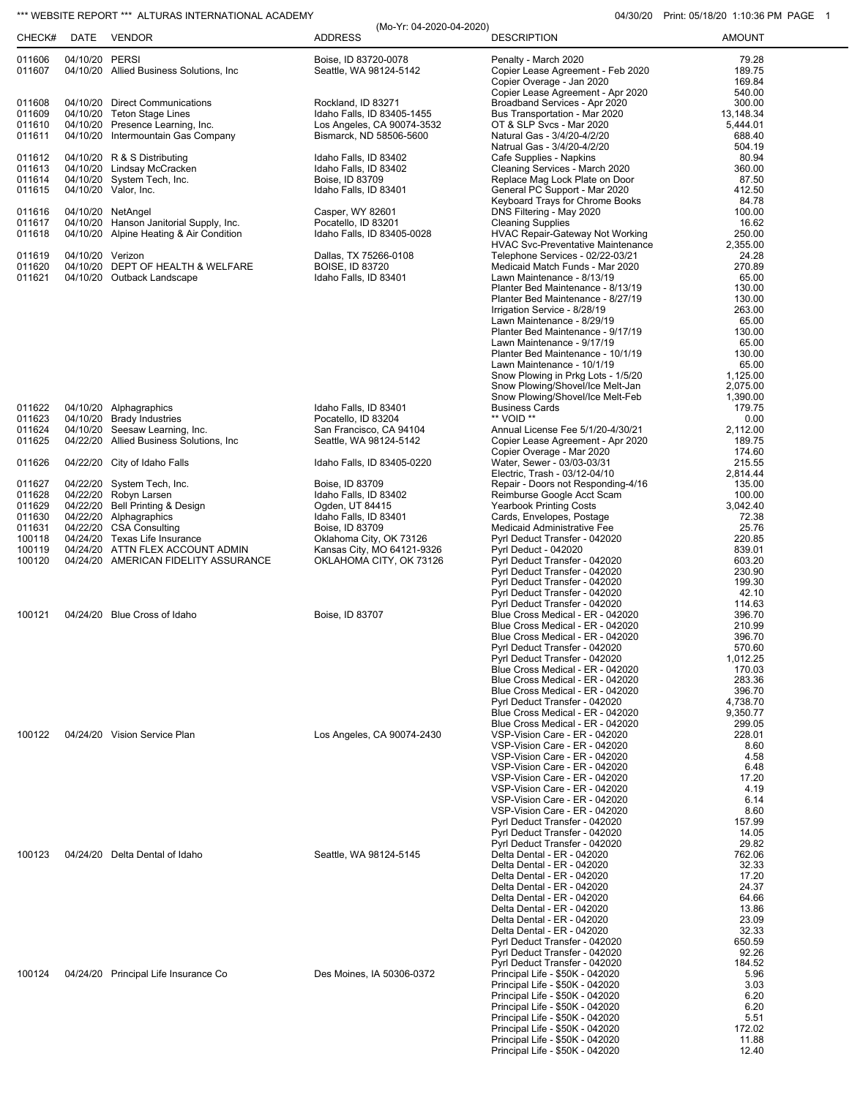## \*\*\* WEBSITE REPORT \*\*\* ALTURAS INTERNATIONAL ACADEMY **04/30/20** Print: 05/18/20 1:10:36 PM PAGE 1

| CHECK#           | DATE             | <b>VENDOR</b>                                                     | <b>ADDRESS</b>                                        | <b>DESCRIPTION</b>                                                   | <b>AMOUNT</b>       |
|------------------|------------------|-------------------------------------------------------------------|-------------------------------------------------------|----------------------------------------------------------------------|---------------------|
| 011606           | 04/10/20 PERSI   |                                                                   | Boise, ID 83720-0078                                  | Penalty - March 2020                                                 | 79.28               |
| 011607           |                  | 04/10/20 Allied Business Solutions, Inc.                          | Seattle, WA 98124-5142                                | Copier Lease Agreement - Feb 2020                                    | 189.75              |
|                  |                  |                                                                   |                                                       | Copier Overage - Jan 2020                                            | 169.84              |
|                  |                  |                                                                   |                                                       | Copier Lease Agreement - Apr 2020                                    | 540.00              |
| 011608<br>011609 | 04/10/20         | 04/10/20 Direct Communications<br><b>Teton Stage Lines</b>        | Rockland, ID 83271<br>Idaho Falls, ID 83405-1455      | Broadband Services - Apr 2020<br>Bus Transportation - Mar 2020       | 300.00<br>13,148.34 |
| 011610           |                  | 04/10/20 Presence Learning, Inc.                                  | Los Angeles, CA 90074-3532                            | OT & SLP Svcs - Mar 2020                                             | 5,444.01            |
| 011611           |                  | 04/10/20 Intermountain Gas Company                                | Bismarck, ND 58506-5600                               | Natural Gas - 3/4/20-4/2/20                                          | 688.40              |
|                  |                  |                                                                   |                                                       | Natrual Gas - 3/4/20-4/2/20                                          | 504.19              |
| 011612           |                  | 04/10/20 R & S Distributing                                       | Idaho Falls, ID 83402                                 | Cafe Supplies - Napkins                                              | 80.94               |
| 011613           |                  | 04/10/20 Lindsay McCracken                                        | Idaho Falls, ID 83402                                 | Cleaning Services - March 2020                                       | 360.00              |
| 011614<br>011615 |                  | 04/10/20 System Tech, Inc.                                        | Boise, ID 83709                                       | Replace Mag Lock Plate on Door<br>General PC Support - Mar 2020      | 87.50<br>412.50     |
|                  | 04/10/20         | Valor, Inc.                                                       | Idaho Falls, ID 83401                                 | Keyboard Trays for Chrome Books                                      | 84.78               |
| 011616           |                  | 04/10/20 NetAngel                                                 | Casper, WY 82601                                      | DNS Filtering - May 2020                                             | 100.00              |
| 011617           |                  | 04/10/20 Hanson Janitorial Supply, Inc.                           | Pocatello, ID 83201                                   | <b>Cleaning Supplies</b>                                             | 16.62               |
| 011618           |                  | 04/10/20 Alpine Heating & Air Condition                           | Idaho Falls, ID 83405-0028                            | <b>HVAC Repair-Gateway Not Working</b>                               | 250.00              |
|                  |                  |                                                                   |                                                       | <b>HVAC Svc-Preventative Maintenance</b>                             | 2,355.00            |
| 011619           | 04/10/20 Verizon |                                                                   | Dallas, TX 75266-0108                                 | Telephone Services - 02/22-03/21                                     | 24.28               |
| 011620<br>011621 |                  | 04/10/20 DEPT OF HEALTH & WELFARE<br>04/10/20 Outback Landscape   | <b>BOISE, ID 83720</b><br>Idaho Falls, ID 83401       | Medicaid Match Funds - Mar 2020<br>Lawn Maintenance - 8/13/19        | 270.89<br>65.00     |
|                  |                  |                                                                   |                                                       | Planter Bed Maintenance - 8/13/19                                    | 130.00              |
|                  |                  |                                                                   |                                                       | Planter Bed Maintenance - 8/27/19                                    | 130.00              |
|                  |                  |                                                                   |                                                       | Irrigation Service - 8/28/19                                         | 263.00              |
|                  |                  |                                                                   |                                                       | Lawn Maintenance - 8/29/19                                           | 65.00               |
|                  |                  |                                                                   |                                                       | Planter Bed Maintenance - 9/17/19                                    | 130.00              |
|                  |                  |                                                                   |                                                       | Lawn Maintenance - 9/17/19                                           | 65.00               |
|                  |                  |                                                                   |                                                       | Planter Bed Maintenance - 10/1/19                                    | 130.00              |
|                  |                  |                                                                   |                                                       | Lawn Maintenance - 10/1/19<br>Snow Plowing in Prkg Lots - 1/5/20     | 65.00<br>1,125.00   |
|                  |                  |                                                                   |                                                       | Snow Plowing/Shovel/Ice Melt-Jan                                     | 2,075.00            |
|                  |                  |                                                                   |                                                       | Snow Plowing/Shovel/Ice Melt-Feb                                     | 1,390.00            |
| 011622           |                  | 04/10/20 Alphagraphics                                            | Idaho Falls, ID 83401                                 | <b>Business Cards</b>                                                | 179.75              |
| 011623           | 04/10/20         | <b>Brady Industries</b>                                           | Pocatello, ID 83204                                   | ** VOID **                                                           | 0.00                |
| 011624           | 04/10/20         | Seesaw Learning, Inc.                                             | San Francisco, CA 94104                               | Annual License Fee 5/1/20-4/30/21                                    | 2,112.00            |
| 011625           |                  | 04/22/20 Allied Business Solutions, Inc.                          | Seattle, WA 98124-5142                                | Copier Lease Agreement - Apr 2020                                    | 189.75              |
| 011626           |                  | 04/22/20 City of Idaho Falls                                      | Idaho Falls, ID 83405-0220                            | Copier Overage - Mar 2020<br>Water, Sewer - 03/03-03/31              | 174.60<br>215.55    |
|                  |                  |                                                                   |                                                       | Electric, Trash - 03/12-04/10                                        | 2,814.44            |
| 011627           |                  | 04/22/20 System Tech, Inc.                                        | Boise, ID 83709                                       | Repair - Doors not Responding-4/16                                   | 135.00              |
| 011628           |                  | 04/22/20 Robyn Larsen                                             | Idaho Falls, ID 83402                                 | Reimburse Google Acct Scam                                           | 100.00              |
| 011629           |                  | 04/22/20 Bell Printing & Design                                   | Ogden, UT 84415                                       | <b>Yearbook Printing Costs</b>                                       | 3,042.40            |
| 011630           |                  | 04/22/20 Alphagraphics                                            | Idaho Falls, ID 83401                                 | Cards, Envelopes, Postage                                            | 72.38               |
| 011631           |                  | 04/22/20 CSA Consulting                                           | Boise, ID 83709                                       | Medicaid Administrative Fee                                          | 25.76               |
| 100118<br>100119 |                  | 04/24/20 Texas Life Insurance<br>04/24/20 ATTN FLEX ACCOUNT ADMIN | Oklahoma City, OK 73126                               | Pyrl Deduct Transfer - 042020                                        | 220.85              |
| 100120           |                  | 04/24/20 AMERICAN FIDELITY ASSURANCE                              | Kansas City, MO 64121-9326<br>OKLAHOMA CITY, OK 73126 | <b>Pyrl Deduct - 042020</b><br>Pyrl Deduct Transfer - 042020         | 839.01<br>603.20    |
|                  |                  |                                                                   |                                                       | Pyrl Deduct Transfer - 042020                                        | 230.90              |
|                  |                  |                                                                   |                                                       | Pyrl Deduct Transfer - 042020                                        | 199.30              |
|                  |                  |                                                                   |                                                       | Pyrl Deduct Transfer - 042020                                        | 42.10               |
|                  |                  |                                                                   |                                                       | Pyrl Deduct Transfer - 042020                                        | 114.63              |
| 100121           |                  | 04/24/20 Blue Cross of Idaho                                      | Boise, ID 83707                                       | Blue Cross Medical - ER - 042020                                     | 396.70              |
|                  |                  |                                                                   |                                                       | Blue Cross Medical - ER - 042020<br>Blue Cross Medical - ER - 042020 | 210.99<br>396.70    |
|                  |                  |                                                                   |                                                       | Pyrl Deduct Transfer - 042020                                        | 570.60              |
|                  |                  |                                                                   |                                                       | Pyrl Deduct Transfer - 042020                                        | 1,012.25            |
|                  |                  |                                                                   |                                                       | Blue Cross Medical - ER - 042020                                     | 170.03              |
|                  |                  |                                                                   |                                                       | Blue Cross Medical - ER - 042020                                     | 283.36              |
|                  |                  |                                                                   |                                                       | Blue Cross Medical - ER - 042020                                     | 396.70              |
|                  |                  |                                                                   |                                                       | Pyrl Deduct Transfer - 042020                                        | 4,738.70            |
|                  |                  |                                                                   |                                                       | Blue Cross Medical - ER - 042020<br>Blue Cross Medical - ER - 042020 | 9,350.77<br>299.05  |
| 100122           |                  | 04/24/20 Vision Service Plan                                      | Los Angeles, CA 90074-2430                            | VSP-Vision Care - ER - 042020                                        | 228.01              |
|                  |                  |                                                                   |                                                       | VSP-Vision Care - ER - 042020                                        | 8.60                |
|                  |                  |                                                                   |                                                       | VSP-Vision Care - ER - 042020                                        | 4.58                |
|                  |                  |                                                                   |                                                       | VSP-Vision Care - ER - 042020                                        | 6.48                |
|                  |                  |                                                                   |                                                       | VSP-Vision Care - ER - 042020                                        | 17.20               |
|                  |                  |                                                                   |                                                       | VSP-Vision Care - ER - 042020<br>VSP-Vision Care - ER - 042020       | 4.19<br>6.14        |
|                  |                  |                                                                   |                                                       | VSP-Vision Care - ER - 042020                                        | 8.60                |
|                  |                  |                                                                   |                                                       | Pyrl Deduct Transfer - 042020                                        | 157.99              |
|                  |                  |                                                                   |                                                       | Pyrl Deduct Transfer - 042020                                        | 14.05               |
|                  |                  |                                                                   |                                                       | Pyrl Deduct Transfer - 042020                                        | 29.82               |
| 100123           |                  | 04/24/20 Delta Dental of Idaho                                    | Seattle, WA 98124-5145                                | Delta Dental - ER - 042020                                           | 762.06              |
|                  |                  |                                                                   |                                                       | Delta Dental - ER - 042020                                           | 32.33               |
|                  |                  |                                                                   |                                                       | Delta Dental - ER - 042020                                           | 17.20               |
|                  |                  |                                                                   |                                                       | Delta Dental - ER - 042020<br>Delta Dental - ER - 042020             | 24.37<br>64.66      |
|                  |                  |                                                                   |                                                       | Delta Dental - ER - 042020                                           | 13.86               |
|                  |                  |                                                                   |                                                       | Delta Dental - ER - 042020                                           | 23.09               |
|                  |                  |                                                                   |                                                       | Delta Dental - ER - 042020                                           | 32.33               |
|                  |                  |                                                                   |                                                       | Pyrl Deduct Transfer - 042020                                        | 650.59              |
|                  |                  |                                                                   |                                                       | Pyrl Deduct Transfer - 042020                                        | 92.26<br>184.52     |
|                  |                  | 04/24/20 Principal Life Insurance Co                              | Des Moines, IA 50306-0372                             | Pyrl Deduct Transfer - 042020<br>Principal Life - \$50K - 042020     | 5.96                |
| 100124           |                  |                                                                   |                                                       | Principal Life - \$50K - 042020                                      | 3.03                |
|                  |                  |                                                                   |                                                       | Principal Life - \$50K - 042020                                      | 6.20                |
|                  |                  |                                                                   |                                                       | Principal Life - \$50K - 042020                                      | 6.20                |
|                  |                  |                                                                   |                                                       | Principal Life - \$50K - 042020                                      | 5.51                |
|                  |                  |                                                                   |                                                       | Principal Life - \$50K - 042020                                      | 172.02              |
|                  |                  |                                                                   |                                                       | Principal Life - \$50K - 042020                                      | 11.88               |
|                  |                  |                                                                   |                                                       | Principal Life - \$50K - 042020                                      | 12.40               |

(Mo-Yr: 04-2020-04-2020)